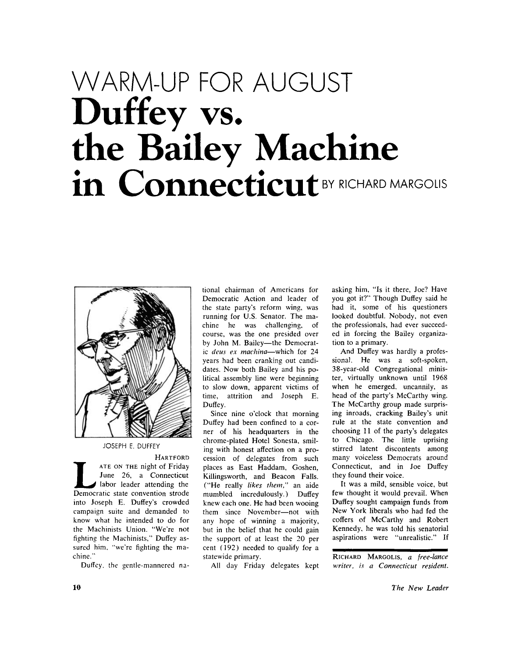## WARM-UP FOR AUGUST **Duffey vs. the Bailey Machine**  in Connecticut<sup>BY RICHARD MARGOLIS</sub></sup>



JOSEPH E. DUFFEY

**HARTFOR D**  THE ON THE night of Friday<br>
June 26, a Connecticut<br>
labor leader attending the<br>
Democratic state convention strode **A T E O N TH <sup>E</sup>** night of Friday June 26, a Connecticut labor leader attending the into Joseph E. Duffey's crowded campaign suite and demanded to know what he intended to do for the Machinists Union. "We're not fighting the Machinists," Duffey assured him, "we're fighting the machine."

Duffey. the gentle-mannered na-

tional chairman of Americans for Democratic Action and leader of the state party's reform wing, was running for U.S. Senator. The machine he was challenging, of course, was the one presided over by John M. Bailey-the Democratic *deus ex machina*—which for 24 years had been cranking out candidates. Now both Bailey and his political assembly line were beginning to slow down, apparent victims of time, attrition and Joseph E. Duffey.

Since nine o'clock that morning Duffey had been confined to a corner of his headquarters in the chrome-plated Hotel Sonesta, smiling with honest affection on a procession of delegates from such places as East Haddam, Goshen, Killingsworth, and Beacon Falls. ("He really *likes them,"* an aide mumbled incredulously.) Duffey knew each one. He had been wooing them since November—not with any hope of winning a majority, but in the belief that he could gain the support of at least the 20 per cent (192) needed to qualify for a statewide primary.

All day Friday delegates kept

asking him, "Is it there, Joe? Have you got it?" Though Duffey said he had it, some of his questioners looked doubtful. Nobody, not even the professionals, had ever succeeded in forcing the Bailey organization to a primary.

And Duffey was hardly a professional. He was a soft-spoken, 38-year-old Congregational minister, virtually unknown until 1968 when he emerged, uncannily, as head of the party's McCarthy wing. The McCarthy group made surprising inroads, cracking Bailey's unit rule at the state convention and choosing 11 of the party's delegates to Chicago. The little uprising stirred latent discontents among many voiceless Democrats around Connecticut, and in Joe Duffey they found their voice.

It was a mild, sensible voice, but few thought it would prevail. When Duffey sought campaign funds from New York liberals who had fed the coffers of McCarthy and Robert Kennedy, he was told his senatorial aspirations were "unrealistic." If

**RICHAR D MARGOLIS ,** *a free-lance writer, is a Connecticut resident.*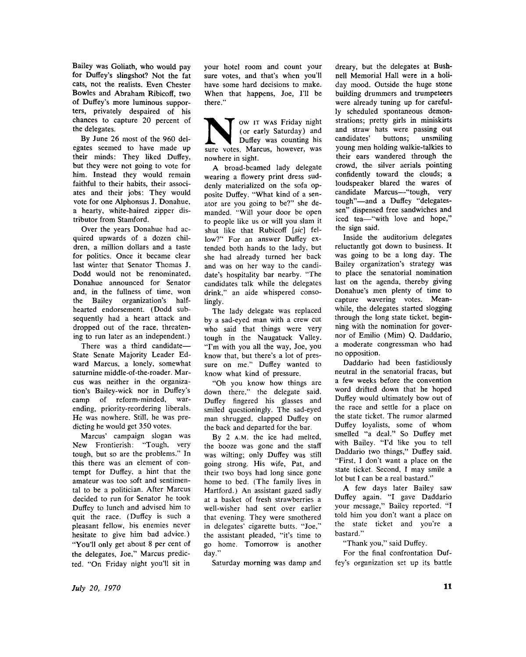Bailey was Goliath, who would pay for Duffey's slingshot? Not the fat cats, not the realists. Even Chester Bowles and Abraham Ribicoff, two of Duffey's more luminous supporters, privately despaired of his chances to capture 20 percent of the delegates.

By June 26 most of the 960 delegates seemed to have made up their minds: They liked Duffey, but they were not going to vote for him. Instead they would remain faithful to their habits, their associates and their jobs: They would vote for one Alphonsus J. Donahue, a hearty, white-haired zipper distributor from Stamford.

Over the years Donahue had acquired upwards of a dozen children, a million dollars and a taste for politics. Once it became clear last winter that Senator Thomas J. Dodd would not be renominated, Donahue announced for Senator and, in the fullness of time, won the Bailey organization's halfhearted endorsement. (Dodd subsequently had a heart attack and dropped out of the race, threatening to run later as an independent.)

There was a third candidate— State Senate Majority Leader Ed ward Marcus, a lonely, somewhat saturnine middle-of-the-roader. Marcus was neither in the organization's Bailey-wick nor in Duffey's camp of reform-minded, warending, priority-reordering liberals. He was nowhere. Still, he was predicting he would get 350 votes.

Marcus' campaign slogan was New Frontierish: "Tough, very tough, but so are the problems." In this there was an element of contempt for Duffey, a hint that the amateur was too soft and sentimental to be a politician. After Marcus decided to run for Senator he took Duffey to lunch and advised him to quit the race. (Duffey is such a pleasant fellow, his enemies never hesitate to give him bad advice.) "You'll only get about 8 per cent of the delegates, Joe," Marcus predicted. "On Friday night you'll sit in

your hotel room and count your sure votes, and that's when you'll have some hard decisions to make. When that happens, Joe, I'll be there."

We are votes. Marcus, however, was seen the votes. Marcus, however, was **v** ow IT was Friday night (or early Saturday) and Duffey was counting his nowhere in sight.

A broad-beamed lady delegate wearing a flowery print dress suddenly materialized on the sofa opposite Duffey. "What kind of a senator are you going to be?" she demanded. "Will your door be open to people like us or will you slam it shut like that Rubicoff *[sic]* fellow?" For an answer Duffey extended both hands to the lady, but she had already turned her back and was on her way to the candidate's hospitality bar nearby. "The candidates talk while the delegates drink," an aide whispered consolingly.

The lady delegate was replaced by a sad-eyed man with a crew cut who said that things were very tough in the Naugatuck Valley. "I'm with you all the way, Joe, you know that, but there's a lot of pressure on me." Duffey wanted to know what kind of pressure.

" Oh you know how things are down there," the delegate said. Duffey fingered his glasses and smiled questioningly. The sad-eyed man shrugged, clapped Duffey on the back and departed for the bar.

By 2 **A.M** . the ice had melted, the booze was gone and the staff was wilting; only Duffey was still going strong. His wife, Pat, and their two boys had long since gone home to bed. (The family lives in Hartford.) An assistant gazed sadly at a basket of fresh strawberries a well-wisher had sent over earlier that evening. They were smothered in delegates' cigarette butts. "Joe," the assistant pleaded, "it's time to go home. Tomorrow is another day."

Saturday morning was damp and

dreary, but the delegates at Bushnell Memorial Hall were in **a** holiday mood. Outside the huge stone building drummers and trumpeteers were already tuning up for carefully scheduled spontaneous demonstrations; pretty girls in miniskirts and straw hats were passing out candidates' buttons; unsmiling young men holding walkie-talkies to their ears wandered through the crowd, the silver aerials pointing confidently toward the clouds; **a**  loudspeaker blared the wares of candidate Marcus—"tough, very tough"—and a Duffey "delegatessen" dispensed free sandwiches and iced tea—"with love and hope," the sign said.

Inside the auditorium delegates reluctantly got down to business. It was going to be a long day. The Bailey organization's strategy was to place the senatorial nomination last on the agenda, thereby giving Donahue's men plenty of time to capture wavering votes. Meanwhile, the delegates started slogging through the long state ticket, beginning with the nomination for governor of Emilio (Mim) Q. Daddario, a moderate congressman who had no opposition.

Daddario had been fastidiously neutral in the senatorial fracas, but a few weeks before the convention word drifted down that he hoped Duffey would ultimately bow out of the race and settle for a place on the state ticket. The rumor alarmed Duffey loyalists, some of whom smelled "a deal." So Duffey met with Bailey. "I'd like you to tell Daddario two things," Duffey said. "First, I don't want a place on the state ticket. Second, I may smile a lot but I can be a real bastard."

A few days later Bailey saw Duffey again. "I gave Daddario your message," Bailey reported. "I told him you don't want a place on the state ticket and you're a bastard."

"Thank you," said Duffey.

For the final confrontation Duffey's organization set up its battle